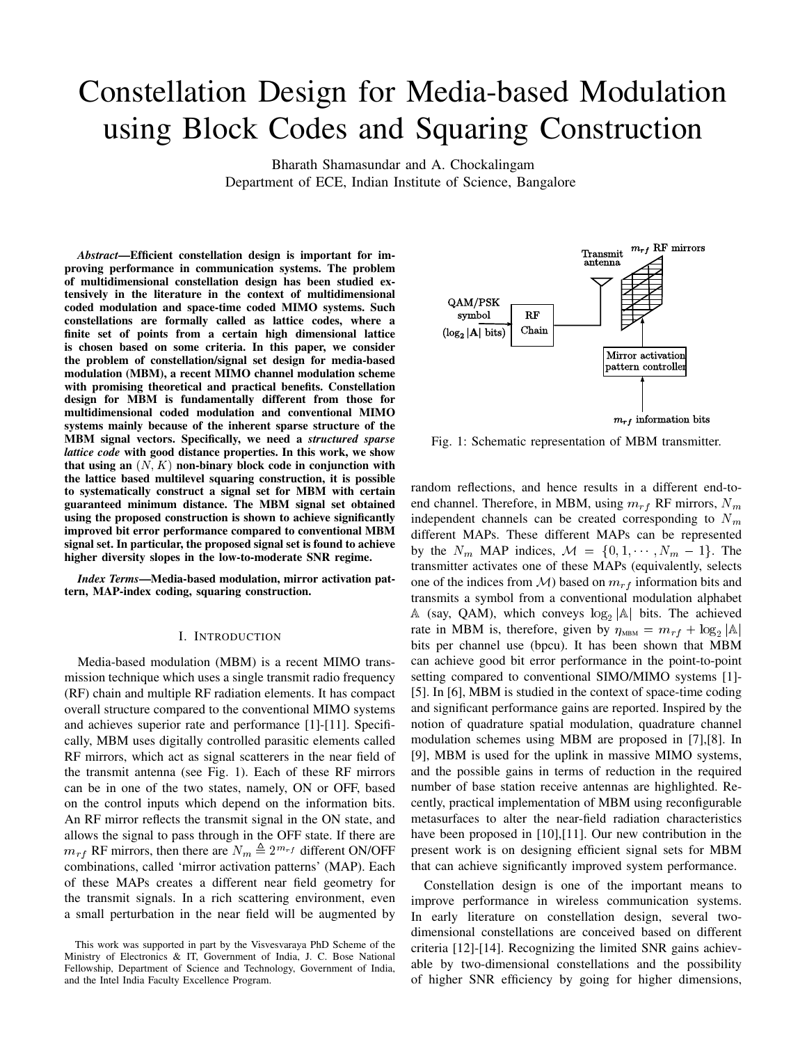# Constellation Design for Media-based Modulation using Block Codes and Squaring Construction

Bharath Shamasundar and A. Chockalingam

Department of ECE, Indian Institute of Science, Bangalore

*Abstract*—Efficient constellation design is important for improving performance in communication systems. The problem of multidimensional constellation design has been studied extensively in the literature in the context of multidimensional coded modulation and space-time coded MIMO systems. Such constellations are formally called as lattice codes, where a finite set of points from a certain high dimensional lattice is chosen based on some criteria. In this paper, we consider the problem of constellation/signal set design for media-based modulation (MBM), a recent MIMO channel modulation scheme with promising theoretical and practical benefits. Constellation design for MBM is fundamentally different from those for multidimensional coded modulation and conventional MIMO systems mainly because of the inherent sparse structure of the MBM signal vectors. Specifically, we need a *structured sparse lattice code* with good distance properties. In this work, we show that using an  $(N, K)$  non-binary block code in conjunction with the lattice based multilevel squaring construction, it is possible to systematically construct a signal set for MBM with certain guaranteed minimum distance. The MBM signal set obtained using the proposed construction is shown to achieve significantly improved bit error performance compared to conventional MBM signal set. In particular, the proposed signal set is found to achieve higher diversity slopes in the low-to-moderate SNR regime.

*Index Terms*—Media-based modulation, mirror activation pattern, MAP-index coding, squaring construction.

# I. INTRODUCTION

Media-based modulation (MBM) is a recent MIMO transmission technique which uses a single transmit radio frequency (RF) chain and multiple RF radiation elements. It has compact overall structure compared to the conventional MIMO systems and achieves superior rate and performance [1]-[11]. Specifically, MBM uses digitally controlled parasitic elements called RF mirrors, which act as signal scatterers in the near field of the transmit antenna (see Fig. 1). Each of these RF mirrors can be in one of the two states, namely, ON or OFF, based on the control inputs which depend on the information bits. An RF mirror reflects the transmit signal in the ON state, and allows the signal to pass through in the OFF state. If there are  $m_{rf}$  RF mirrors, then there are  $N_m \triangleq 2^{m_{rf}}$  different ON/OFF combinations, called 'mirror activation patterns' (MAP). Each of these MAPs creates a different near field geometry for the transmit signals. In a rich scattering environment, even a small perturbation in the near field will be augmented by



Fig. 1: Schematic representation of MBM transmitter.

random reflections, and hence results in a different end-toend channel. Therefore, in MBM, using  $m_{rf}$  RF mirrors,  $N_m$ independent channels can be created corresponding to  $N_m$ different MAPs. These different MAPs can be represented by the  $N_m$  MAP indices,  $\mathcal{M} = \{0, 1, \dots, N_m - 1\}$ . The transmitter activates one of these MAPs (equivalently, selects one of the indices from  $\mathcal{M}$ ) based on  $m_{rf}$  information bits and transmits a symbol from a conventional modulation alphabet  $\mathbb A$  (say, QAM), which conveys  $\log_2|\mathbb A|$  bits. The achieved rate in MBM is, therefore, given by  $\eta_{\text{MBM}} = m_{rf} + \log_2 |\mathbb{A}|$ bits per channel use (bpcu). It has been shown that MBM can achieve good bit error performance in the point-to-point setting compared to conventional SIMO/MIMO systems [1]- [5]. In [6], MBM is studied in the context of space-time coding and significant performance gains are reported. Inspired by the notion of quadrature spatial modulation, quadrature channel modulation schemes using MBM are proposed in [7],[8]. In [9], MBM is used for the uplink in massive MIMO systems, and the possible gains in terms of reduction in the required number of base station receive antennas are highlighted. Recently, practical implementation of MBM using reconfigurable metasurfaces to alter the near-field radiation characteristics have been proposed in [10],[11]. Our new contribution in the present work is on designing efficient signal sets for MBM that can achieve significantly improved system performance.

Constellation design is one of the important means to improve performance in wireless communication systems. In early literature on constellation design, several twodimensional constellations are conceived based on different criteria [12]-[14]. Recognizing the limited SNR gains achievable by two-dimensional constellations and the possibility of higher SNR efficiency by going for higher dimensions,

This work was supported in part by the Visvesvaraya PhD Scheme of the Ministry of Electronics & IT, Government of India, J. C. Bose National Fellowship, Department of Science and Technology, Government of India, and the Intel India Faculty Excellence Program.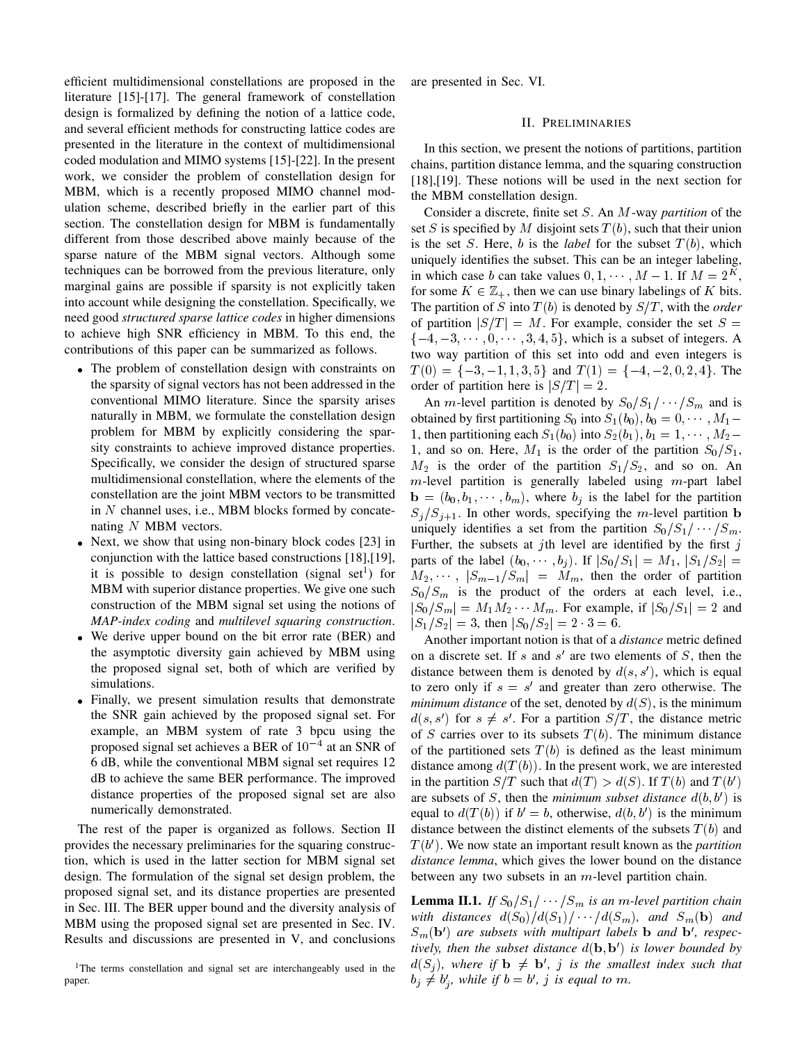efficient multidimensional constellations are proposed in the literature [15]-[17]. The general framework of constellation design is formalized by defining the notion of a lattice code, and several efficient methods for constructing lattice codes are presented in the literature in the context of multidimensional coded modulation and MIMO systems [15]-[22]. In the present work, we consider the problem of constellation design for MBM, which is a recently proposed MIMO channel modulation scheme, described briefly in the earlier part of this section. The constellation design for MBM is fundamentally different from those described above mainly because of the sparse nature of the MBM signal vectors. Although some techniques can be borrowed from the previous literature, only marginal gains are possible if sparsity is not explicitly taken into account while designing the constellation. Specifically, we need good *structured sparse lattice codes* in higher dimensions to achieve high SNR efficiency in MBM. To this end, the contributions of this paper can be summarized as follows.

- The problem of constellation design with constraints on the sparsity of signal vectors has not been addressed in the conventional MIMO literature. Since the sparsity arises naturally in MBM, we formulate the constellation design problem for MBM by explicitly considering the sparsity constraints to achieve improved distance properties. Specifically, we consider the design of structured sparse multidimensional constellation, where the elements of the constellation are the joint MBM vectors to be transmitted in  $N$  channel uses, i.e., MBM blocks formed by concatenating N MBM vectors.
- Next, we show that using non-binary block codes [23] in conjunction with the lattice based constructions [18],[19], it is possible to design constellation (signal set<sup>1</sup>) for MBM with superior distance properties. We give one such construction of the MBM signal set using the notions of *MAP-index coding* and *multilevel squaring construction*.
- We derive upper bound on the bit error rate (BER) and the asymptotic diversity gain achieved by MBM using the proposed signal set, both of which are verified by simulations.
- Finally, we present simulation results that demonstrate the SNR gain achieved by the proposed signal set. For example, an MBM system of rate 3 bpcu using the proposed signal set achieves a BER of  $10^{-4}$  at an SNR of 6 dB, while the conventional MBM signal set requires 12 dB to achieve the same BER performance. The improved distance properties of the proposed signal set are also numerically demonstrated.

The rest of the paper is organized as follows. Section II provides the necessary preliminaries for the squaring construction, which is used in the latter section for MBM signal set design. The formulation of the signal set design problem, the proposed signal set, and its distance properties are presented in Sec. III. The BER upper bound and the diversity analysis of MBM using the proposed signal set are presented in Sec. IV. Results and discussions are presented in V, and conclusions are presented in Sec. VI.

## II. PRELIMINARIES

In this section, we present the notions of partitions, partition chains, partition distance lemma, and the squaring construction [18],[19]. These notions will be used in the next section for the MBM constellation design.

Consider a discrete, finite set S. An M-way *partition* of the set S is specified by M disjoint sets  $T(b)$ , such that their union is the set S. Here, b is the *label* for the subset  $T(b)$ , which uniquely identifies the subset. This can be an integer labeling, in which case b can take values  $0, 1, \dots, M - 1$ . If  $M = 2^K$ , for some  $K \in \mathbb{Z}_+$ , then we can use binary labelings of K bits. The partition of S into  $T(b)$  is denoted by  $S/T$ , with the *order* of partition  $|S/T| = M$ . For example, consider the set  $S =$  $\{-4, -3, \dots, 0, \dots, 3, 4, 5\}$ , which is a subset of integers. A two way partition of this set into odd and even integers is  $T(0) = \{-3, -1, 1, 3, 5\}$  and  $T(1) = \{-4, -2, 0, 2, 4\}$ . The order of partition here is  $|S/T| = 2$ .

An *m*-level partition is denoted by  $S_0/S_1/\cdots/S_m$  and is obtained by first partitioning  $S_0$  into  $S_1(b_0), b_0 = 0, \dots, M_1$ 1, then partitioning each  $S_1(b_0)$  into  $S_2(b_1), b_1 = 1, \cdots, M_2$ 1, and so on. Here,  $M_1$  is the order of the partition  $S_0/S_1$ ,  $M_2$  is the order of the partition  $S_1/S_2$ , and so on. An  $m$ -level partition is generally labeled using  $m$ -part label  $\mathbf{b} = (b_0, b_1, \dots, b_m)$ , where  $b_j$  is the label for the partition  $S_j/S_{j+1}$ . In other words, specifying the m-level partition b uniquely identifies a set from the partition  $S_0/S_1/\cdots/S_m$ . Further, the subsets at jth level are identified by the first  $j$ parts of the label  $(b_0, \dots, b_j)$ . If  $|S_0/S_1| = M_1$ ,  $|S_1/S_2|$  =  $M_2, \cdots, |S_{m-1}/S_m| = M_m$ , then the order of partition  $S_0/S_m$  is the product of the orders at each level, i.e.,  $|S_0/S_m| = M_1M_2 \cdots M_m$ . For example, if  $|S_0/S_1| = 2$  and  $|S_1/S_2| = 3$ , then  $|S_0/S_2| = 2 \cdot 3 = 6$ .

Another important notion is that of a *distance* metric defined on a discrete set. If  $s$  and  $s'$  are two elements of  $S$ , then the distance between them is denoted by  $d(s, s')$ , which is equal to zero only if  $s = s'$  and greater than zero otherwise. The *minimum distance* of the set, denoted by  $d(S)$ , is the minimum  $d(s, s')$  for  $s \neq s'$ . For a partition  $S/T$ , the distance metric of S carries over to its subsets  $T(b)$ . The minimum distance of the partitioned sets  $T(b)$  is defined as the least minimum distance among  $d(T(b))$ . In the present work, we are interested in the partition  $S/T$  such that  $d(T) > d(S)$ . If  $T(b)$  and  $T(b')$ are subsets of S, then the *minimum subset distance*  $d(b, b')$  is equal to  $d(T(b))$  if  $b' = b$ , otherwise,  $d(b, b')$  is the minimum distance between the distinct elements of the subsets  $T(b)$  and  $T(b')$ . We now state an important result known as the *partition distance lemma*, which gives the lower bound on the distance between any two subsets in an  $m$ -level partition chain.

**Lemma II.1.** *If*  $S_0/S_1/\cdots/S_m$  *is an m-level partition chain with distances*  $d(S_0)/d(S_1)/ \cdots /d(S_m)$ , and  $S_m(\mathbf{b})$  and  $S_m(\mathbf{b}')$  are subsets with multipart labels **b** and **b**', respec*tively, then the subset distance* d(b; b 0 ) *is lower bounded by*  $d(S_j)$ , where if  $\mathbf{b} \neq \mathbf{b}'$ , j is the smallest index such that  $b_j \neq b'_j$ , while if  $b = b'$ , j is equal to m.

<sup>&</sup>lt;sup>1</sup>The terms constellation and signal set are interchangeably used in the paper.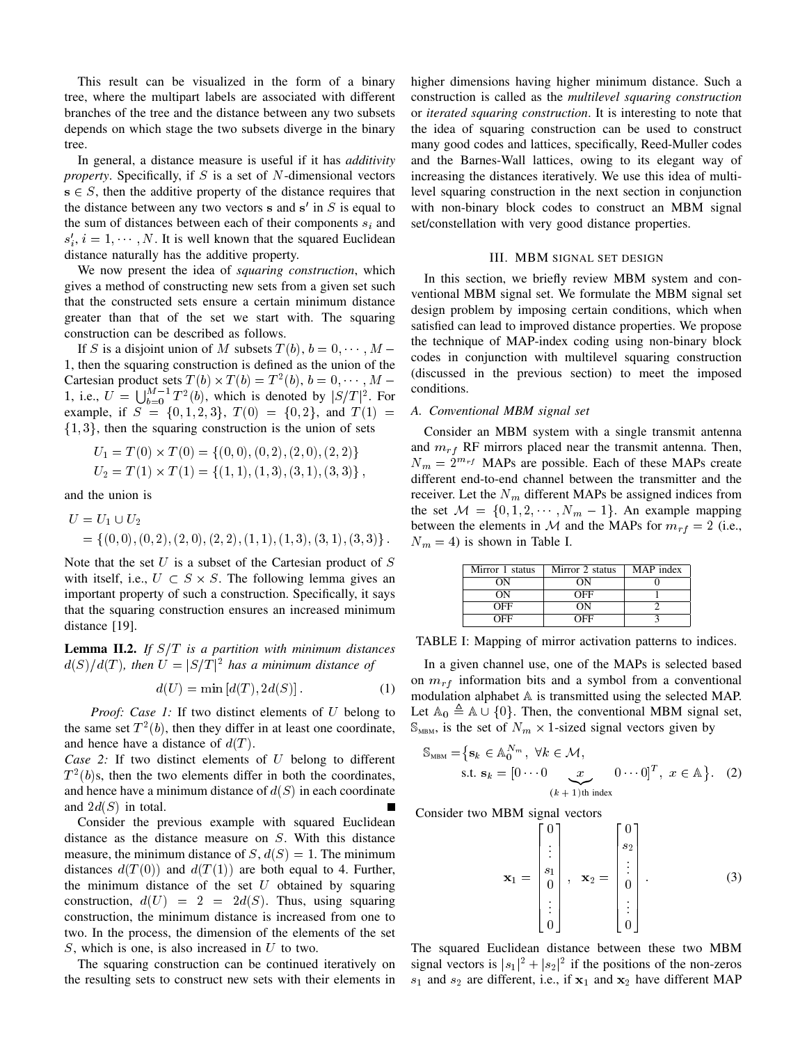This result can be visualized in the form of a binary tree, where the multipart labels are associated with different branches of the tree and the distance between any two subsets depends on which stage the two subsets diverge in the binary tree.

In general, a distance measure is useful if it has *additivity property*. Specifically, if S is a set of N-dimensional vectors  $s \in S$ , then the additive property of the distance requires that the distance between any two vectors  $s$  and  $s'$  in  $S$  is equal to the sum of distances between each of their components  $s_i$  and  $s'_{i}$ ,  $i = 1, \dots, N$ . It is well known that the squared Euclidean distance naturally has the additive property.

We now present the idea of *squaring construction*, which gives a method of constructing new sets from a given set such that the constructed sets ensure a certain minimum distance greater than that of the set we start with. The squaring construction can be described as follows.

If S is a disjoint union of M subsets  $T(b)$ ,  $b = 0, \dots, M -$ 1, then the squaring construction is defined as the union of the Cartesian product sets  $T(b) \times T(b) = T^2(b)$ ,  $b = 0, \dots, M -$ 1, i.e.,  $U = \bigcup_{b=0}^{M-1} T^2(b)$ , which is denoted by  $|S/T|^2$ . For example, if  $S = \{0, 1, 2, 3\}$ ,  $T(0) = \{0, 2\}$ , and  $T(1) =$  $\{1, 3\}$ , then the squaring construction is the union of sets

$$
U_1 = T(0) \times T(0) = \{(0,0), (0,2), (2,0), (2,2)\}
$$
  

$$
U_2 = T(1) \times T(1) = \{(1,1), (1,3), (3,1), (3,3)\},
$$

and the union is

$$
U = U_1 \cup U_2
$$
  
= {(0, 0), (0, 2), (2, 0), (2, 2), (1, 1), (1, 3), (3, 1), (3, 3)}.

Note that the set  $U$  is a subset of the Cartesian product of  $S$ with itself, i.e.,  $U \subset S \times S$ . The following lemma gives an important property of such a construction. Specifically, it says that the squaring construction ensures an increased minimum distance [19].

**Lemma II.2.** *If*  $S/T$  *is a partition with minimum distances*  $d(S)/d(T)$ , then  $U = |S/T|^2$  has a minimum distance of

$$
d(U) = \min [d(T), 2d(S)].
$$
 (1)

*Proof: Case 1:* If two distinct elements of U belong to the same set  $T^2(b)$ , then they differ in at least one coordinate, and hence have a distance of  $d(T)$ .

*Case 2:* If two distinct elements of U belong to different  $T<sup>2</sup>(b)$ s, then the two elements differ in both the coordinates, and hence have a minimum distance of  $d(S)$  in each coordinate and  $2d(S)$  in total.

Consider the previous example with squared Euclidean distance as the distance measure on S. With this distance measure, the minimum distance of  $S, d(S) = 1$ . The minimum distances  $d(T(0))$  and  $d(T(1))$  are both equal to 4. Further, the minimum distance of the set  $U$  obtained by squaring construction,  $d(U) = 2 = 2d(S)$ . Thus, using squaring construction, the minimum distance is increased from one to two. In the process, the dimension of the elements of the set  $S$ , which is one, is also increased in  $U$  to two.

The squaring construction can be continued iteratively on the resulting sets to construct new sets with their elements in higher dimensions having higher minimum distance. Such a construction is called as the *multilevel squaring construction* or *iterated squaring construction*. It is interesting to note that the idea of squaring construction can be used to construct many good codes and lattices, specifically, Reed-Muller codes and the Barnes-Wall lattices, owing to its elegant way of increasing the distances iteratively. We use this idea of multilevel squaring construction in the next section in conjunction with non-binary block codes to construct an MBM signal set/constellation with very good distance properties.

#### III. MBM SIGNAL SET DESIGN

In this section, we briefly review MBM system and conventional MBM signal set. We formulate the MBM signal set design problem by imposing certain conditions, which when satisfied can lead to improved distance properties. We propose the technique of MAP-index coding using non-binary block codes in conjunction with multilevel squaring construction (discussed in the previous section) to meet the imposed conditions.

# *A. Conventional MBM signal set*

Consider an MBM system with a single transmit antenna and  $m_{rf}$  RF mirrors placed near the transmit antenna. Then,  $N_m = 2^{m_{rf}}$  MAPs are possible. Each of these MAPs create different end-to-end channel between the transmitter and the receiver. Let the  $N_m$  different MAPs be assigned indices from the set  $M = \{0, 1, 2, \dots, N_m - 1\}$ . An example mapping between the elements in M and the MAPs for  $m_{rf} = 2$  (i.e.,  $N_m = 4$ ) is shown in Table I.

| Mirror 1 status | Mirror 2 status | MAP index |
|-----------------|-----------------|-----------|
| OΝ              | OΝ              |           |
| OΝ              | OFF             |           |
| OFF             | OΝ              |           |
| ∩FF             | ∩FF             |           |

TABLE I: Mapping of mirror activation patterns to indices.

In a given channel use, one of the MAPs is selected based on  $m_{rf}$  information bits and a symbol from a conventional modulation alphabet A is transmitted using the selected MAP. Let  $\mathbb{A}_0 \triangleq \mathbb{A} \cup \{0\}$ . Then, the conventional MBM signal set,  $\mathbb{S}_{\text{MBM}}$ , is the set of  $N_m \times 1$ -sized signal vectors given by

$$
S_{MBM} = \{ \mathbf{s}_k \in \mathbb{A}_0^{N_m}, \ \forall k \in \mathcal{M},
$$
  
s.t.  $\mathbf{s}_k = [0 \cdots 0 \underbrace{x}_{(k+1)\text{th index}} 0 \cdots 0]^T, \ x \in \mathbb{A} \}.$  (2)

Consider two MBM signal vectors

$$
\mathbf{x}_1 = \begin{bmatrix} 0 \\ \vdots \\ s_1 \\ 0 \\ \vdots \\ 0 \end{bmatrix}, \quad \mathbf{x}_2 = \begin{bmatrix} 0 \\ s_2 \\ \vdots \\ 0 \\ \vdots \\ 0 \end{bmatrix}.
$$
 (3)

The squared Euclidean distance between these two MBM signal vectors is  $|s_1|^2 + |s_2|^2$  if the positions of the non-zeros  $s_1$  and  $s_2$  are different, i.e., if  $x_1$  and  $x_2$  have different MAP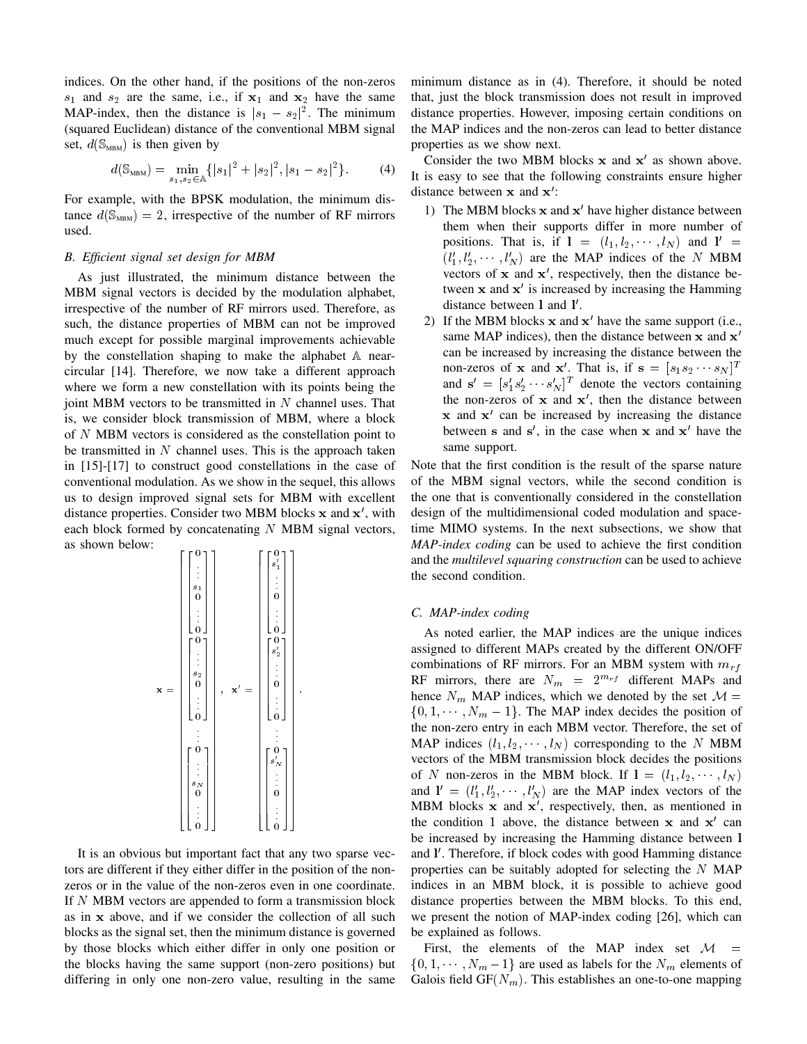indices. On the other hand, if the positions of the non-zeros  $s_1$  and  $s_2$  are the same, i.e., if  $x_1$  and  $x_2$  have the same MAP-index, then the distance is  $|s_1 - s_2|^2$ . The minimum (squared Euclidean) distance of the conventional MBM signal set,  $d(\mathbb{S}_{MBM})$  is then given by

$$
d(\mathbb{S}_{\text{MBM}}) = \min_{s_1, s_2 \in \mathbb{A}} \{|s_1|^2 + |s_2|^2, |s_1 - s_2|^2\}.
$$
 (4)

For example, with the BPSK modulation, the minimum distance  $d(S_{MBM}) = 2$ , irrespective of the number of RF mirrors used.

## *B. Efficient signal set design for MBM*

As just illustrated, the minimum distance between the MBM signal vectors is decided by the modulation alphabet, irrespective of the number of RF mirrors used. Therefore, as such, the distance properties of MBM can not be improved much except for possible marginal improvements achievable by the constellation shaping to make the alphabet A nearcircular [14]. Therefore, we now take a different approach where we form a new constellation with its points being the joint MBM vectors to be transmitted in  $N$  channel uses. That is, we consider block transmission of MBM, where a block of N MBM vectors is considered as the constellation point to be transmitted in  $N$  channel uses. This is the approach taken in [15]-[17] to construct good constellations in the case of conventional modulation. As we show in the sequel, this allows us to design improved signal sets for MBM with excellent distance properties. Consider two MBM blocks x and x', with each block formed by concatenating  $N$  MBM signal vectors, as shown below:

| $\begin{smallmatrix}0\s'_1\s'_2\end{smallmatrix}$<br>0<br>$\begin{array}{c} \vdots \\ 0 \end{array}$<br>$\begin{array}{c} \vdots \\ \circ \\ 0 \end{array}$<br>$\begin{array}{c} \cdot \cdot \cdot \\ \cdot \cdot \\ s_2 \\ 0 \end{array}$ |
|--------------------------------------------------------------------------------------------------------------------------------------------------------------------------------------------------------------------------------------------|
|--------------------------------------------------------------------------------------------------------------------------------------------------------------------------------------------------------------------------------------------|

It is an obvious but important fact that any two sparse vectors are different if they either differ in the position of the nonzeros or in the value of the non-zeros even in one coordinate. If N MBM vectors are appended to form a transmission block as in x above, and if we consider the collection of all such blocks as the signal set, then the minimum distance is governed by those blocks which either differ in only one position or the blocks having the same support (non-zero positions) but differing in only one non-zero value, resulting in the same minimum distance as in (4). Therefore, it should be noted that, just the block transmission does not result in improved distance properties. However, imposing certain conditions on the MAP indices and the non-zeros can lead to better distance properties as we show next.

Consider the two MBM blocks  $x$  and  $x'$  as shown above. It is easy to see that the following constraints ensure higher distance between  $x$  and  $x'$ :

- 1) The MBM blocks  $x$  and  $x'$  have higher distance between them when their supports differ in more number of positions. That is, if  $\mathbf{l} = (l_1, l_2, \dots, l_N)$  and  $\mathbf{l}' =$  $(l'_1, l'_2, \cdots, l'_N)$  are the MAP indices of the N MBM vectors of  $x$  and  $x'$ , respectively, then the distance between  $x$  and  $x'$  is increased by increasing the Hamming distance between 1 and 1'.
- 2) If the MBM blocks  $x$  and  $x'$  have the same support (i.e., same MAP indices), then the distance between  $x$  and  $x'$ can be increased by increasing the distance between the non-zeros of **x** and **x'**. That is, if  $\mathbf{s} = [s_1 s_2 \cdots s_N]^T$ and  $\mathbf{s}' = [s'_1 s'_2 \cdots s'_N]^T$  denote the vectors containing the non-zeros of  $x$  and  $x'$ , then the distance between  $x$  and  $x'$  can be increased by increasing the distance between s and  $s'$ , in the case when x and  $x'$  have the same support.

Note that the first condition is the result of the sparse nature of the MBM signal vectors, while the second condition is the one that is conventionally considered in the constellation design of the multidimensional coded modulation and spacetime MIMO systems. In the next subsections, we show that *MAP-index coding* can be used to achieve the first condition and the *multilevel squaring construction* can be used to achieve the second condition.

# *C. MAP-index coding*

As noted earlier, the MAP indices are the unique indices assigned to different MAPs created by the different ON/OFF combinations of RF mirrors. For an MBM system with  $m_{rf}$ RF mirrors, there are  $N_m = 2^{m_{rf}}$  different MAPs and hence  $N_m$  MAP indices, which we denoted by the set  $\mathcal{M} =$  $\{0, 1, \dots, N_m - 1\}$ . The MAP index decides the position of the non-zero entry in each MBM vector. Therefore, the set of MAP indices  $(l_1, l_2, \dots, l_N)$  corresponding to the N MBM vectors of the MBM transmission block decides the positions of N non-zeros in the MBM block. If  $l = (l_1, l_2, \dots, l_N)$ and  $\mathbf{l}' = (l'_1, l'_2, \cdots, l'_N)$  are the MAP index vectors of the MBM blocks  $x$  and  $x'$ , respectively, then, as mentioned in the condition 1 above, the distance between  $x$  and  $x'$  can be increased by increasing the Hamming distance between l and I'. Therefore, if block codes with good Hamming distance properties can be suitably adopted for selecting the  $N$  MAP indices in an MBM block, it is possible to achieve good distance properties between the MBM blocks. To this end, we present the notion of MAP-index coding [26], which can be explained as follows.

First, the elements of the MAP index set  $\mathcal{M}$  =  $\{0, 1, \dots, N_m - 1\}$  are used as labels for the  $N_m$  elements of Galois field  $GF(N_m)$ . This establishes an one-to-one mapping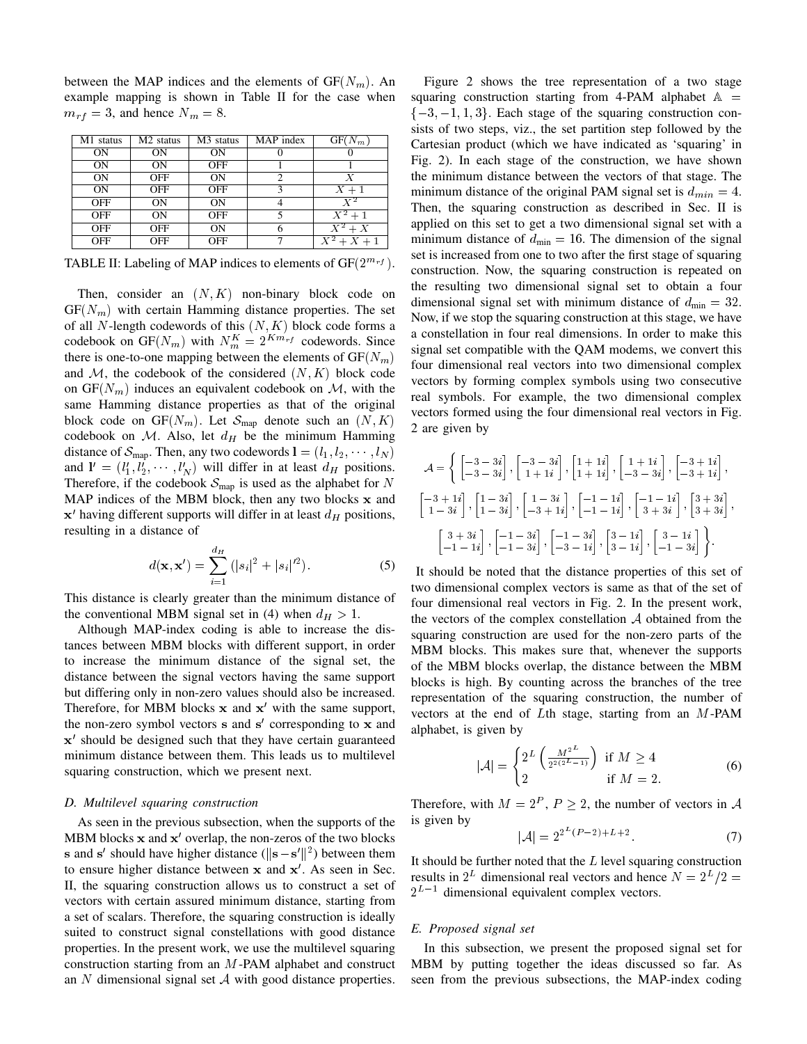between the MAP indices and the elements of  $GF(N_m)$ . An example mapping is shown in Table II for the case when  $m_{rf} = 3$ , and hence  $N_m = 8$ .

| M1 status      | M <sub>2</sub> status | M <sub>3</sub> status | MAP index | $GF(N_m)$                |
|----------------|-----------------------|-----------------------|-----------|--------------------------|
| 0 <sub>N</sub> | <b>ON</b>             | <b>ON</b>             |           |                          |
| <b>ON</b>      | <b>ON</b>             | <b>OFF</b>            |           |                          |
| <b>ON</b>      | <b>OFF</b>            | <b>ON</b>             | 2         | Х                        |
| <b>ON</b>      | <b>OFF</b>            | <b>OFF</b>            | κ         | $X+1$                    |
| <b>OFF</b>     | <b>ON</b>             | <b>ON</b>             |           | $X^2$                    |
| <b>OFF</b>     | <b>ON</b>             | <b>OFF</b>            | 5         | $X^2+1$                  |
| <b>OFF</b>     | <b>OFF</b>            | <b>ON</b>             |           | $\overline{X^2+X}$       |
| <b>OFF</b>     | <b>OFF</b>            | <b>OFF</b>            |           | $\overline{X^2} + X + 1$ |

TABLE II: Labeling of MAP indices to elements of  $GF(2^{m_{rf}})$ .

Then, consider an  $(N, K)$  non-binary block code on  $GF(N_m)$  with certain Hamming distance properties. The set of all  $N$ -length codewords of this  $(N, K)$  block code forms a codebook on GF( $N_m$ ) with  $N_m^K = 2^{Km_{rf}}$  codewords. Since there is one-to-one mapping between the elements of  $GF(N_m)$ and  $M$ , the codebook of the considered  $(N, K)$  block code on  $GF(N_m)$  induces an equivalent codebook on M, with the same Hamming distance properties as that of the original block code on  $GF(N_m)$ . Let  $S_{map}$  denote such an  $(N, K)$ codebook on  $M$ . Also, let  $d_H$  be the minimum Hamming distance of  $S_{\text{map}}$ . Then, any two codewords  $\mathbf{l} = (l_1, l_2, \dots, l_N)$ and  $\mathbf{l}' = (l'_1, l'_2, \cdots, l'_N)$  will differ in at least  $d_H$  positions. Therefore, if the codebook  $\mathcal{S}_{\text{map}}$  is used as the alphabet for N MAP indices of the MBM block, then any two blocks x and  $x'$  having different supports will differ in at least  $d_H$  positions, resulting in a distance of

$$
d(\mathbf{x}, \mathbf{x}') = \sum_{i=1}^{d_H} (|s_i|^2 + |s_i|^{2}).
$$
 (5)

This distance is clearly greater than the minimum distance of the conventional MBM signal set in (4) when  $d_H > 1$ .

Although MAP-index coding is able to increase the distances between MBM blocks with different support, in order to increase the minimum distance of the signal set, the distance between the signal vectors having the same support but differing only in non-zero values should also be increased. Therefore, for MBM blocks  $x$  and  $x'$  with the same support, the non-zero symbol vectors s and s' corresponding to x and x' should be designed such that they have certain guaranteed minimum distance between them. This leads us to multilevel squaring construction, which we present next.

## *D. Multilevel squaring construction*

As seen in the previous subsection, when the supports of the MBM blocks  $x$  and  $x'$  overlap, the non-zeros of the two blocks s and s' should have higher distance ( $\|\mathbf{s} - \mathbf{s}'\|^2$ ) between them to ensure higher distance between  $x$  and  $x'$ . As seen in Sec. II, the squaring construction allows us to construct a set of vectors with certain assured minimum distance, starting from a set of scalars. Therefore, the squaring construction is ideally suited to construct signal constellations with good distance properties. In the present work, we use the multilevel squaring construction starting from an M-PAM alphabet and construct an  $N$  dimensional signal set  $A$  with good distance properties.

Figure 2 shows the tree representation of a two stage squaring construction starting from 4-PAM alphabet  $A =$  $\{-3, -1, 1, 3\}$ . Each stage of the squaring construction consists of two steps, viz., the set partition step followed by the Cartesian product (which we have indicated as 'squaring' in Fig. 2). In each stage of the construction, we have shown the minimum distance between the vectors of that stage. The minimum distance of the original PAM signal set is  $d_{min} = 4$ . Then, the squaring construction as described in Sec. II is applied on this set to get a two dimensional signal set with a minimum distance of  $d_{\text{min}} = 16$ . The dimension of the signal set is increased from one to two after the first stage of squaring construction. Now, the squaring construction is repeated on the resulting two dimensional signal set to obtain a four dimensional signal set with minimum distance of  $d_{\text{min}} = 32$ . Now, if we stop the squaring construction at this stage, we have a constellation in four real dimensions. In order to make this signal set compatible with the QAM modems, we convert this four dimensional real vectors into two dimensional complex vectors by forming complex symbols using two consecutive real symbols. For example, the two dimensional complex vectors formed using the four dimensional real vectors in Fig. 2 are given by

$$
\mathcal{A} = \left\{ \begin{bmatrix} -3 & -3i \\ -3 & -3i \end{bmatrix}, \begin{bmatrix} -3 & -3i \\ 1+1i \end{bmatrix}, \begin{bmatrix} 1+1i \\ 1+1i \end{bmatrix}, \begin{bmatrix} 1+1i \\ -3-3i \end{bmatrix}, \begin{bmatrix} -3+1i \\ -3+1i \end{bmatrix}, \right\}
$$

$$
\begin{bmatrix} -3+1i \\ 1-3i \end{bmatrix}, \begin{bmatrix} 1-3i \\ 1-3i \end{bmatrix}, \begin{bmatrix} 1-3i \\ -3+1i \end{bmatrix}, \begin{bmatrix} -1-1i \\ -1-1i \end{bmatrix}, \begin{bmatrix} -1-1i \\ 3+3i \end{bmatrix}, \begin{bmatrix} 3+3i \\ 3+3i \end{bmatrix}, \left[\begin{bmatrix} 3+3i \\ -1-1i \end{bmatrix}, \begin{bmatrix} -1-3i \\ -1-3i \end{bmatrix}, \begin{bmatrix} -1-3i \\ -3-1i \end{bmatrix}, \begin{bmatrix} 3-1i \\ 3-1i \end{bmatrix}, \begin{bmatrix} 3-1i \\ -1-3i \end{bmatrix} \right\}.
$$

It should be noted that the distance properties of this set of two dimensional complex vectors is same as that of the set of four dimensional real vectors in Fig. 2. In the present work, the vectors of the complex constellation  $A$  obtained from the squaring construction are used for the non-zero parts of the MBM blocks. This makes sure that, whenever the supports of the MBM blocks overlap, the distance between the MBM blocks is high. By counting across the branches of the tree representation of the squaring construction, the number of vectors at the end of Lth stage, starting from an M-PAM alphabet, is given by

$$
|\mathcal{A}| = \begin{cases} 2^L \left( \frac{M^{2^L}}{2^{2(2^L - 1)}} \right) & \text{if } M \ge 4\\ 2 & \text{if } M = 2. \end{cases}
$$
 (6)

Therefore, with  $M = 2^P$ ,  $P \ge 2$ , the number of vectors in A is given by

$$
|\mathcal{A}| = 2^{2^L (P-2) + L + 2}.\tag{7}
$$

It should be further noted that the  $L$  level squaring construction results in  $2^L$  dimensional real vectors and hence  $N = 2^L/2 =$  $2^{L-1}$  dimensional equivalent complex vectors.

## *E. Proposed signal set*

In this subsection, we present the proposed signal set for MBM by putting together the ideas discussed so far. As seen from the previous subsections, the MAP-index coding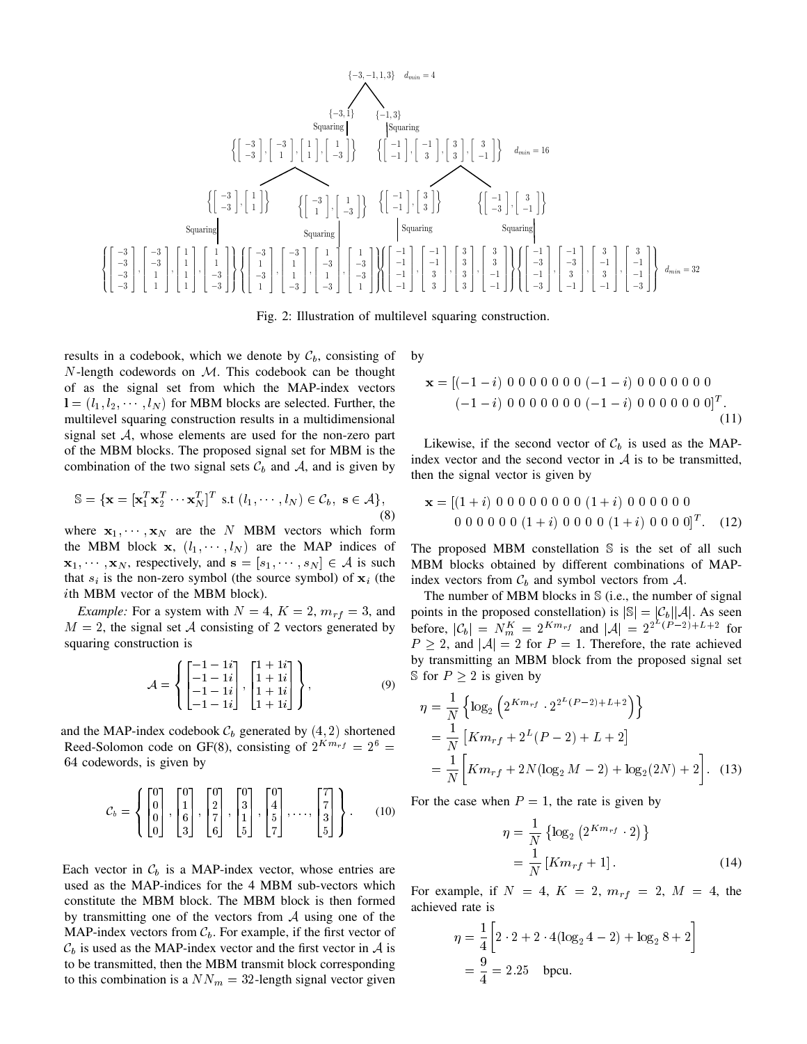

Fig. 2: Illustration of multilevel squaring construction.

results in a codebook, which we denote by  $\mathcal{C}_b$ , consisting of  $N$ -length codewords on  $M$ . This codebook can be thought of as the signal set from which the MAP-index vectors  $\mathbf{l} = (l_1, l_2, \dots, l_N)$  for MBM blocks are selected. Further, the multilevel squaring construction results in a multidimensional signal set A, whose elements are used for the non-zero part of the MBM blocks. The proposed signal set for MBM is the combination of the two signal sets  $\mathcal{C}_b$  and  $\mathcal{A}$ , and is given by

$$
\mathbb{S} = \{ \mathbf{x} = [\mathbf{x}_1^T \mathbf{x}_2^T \cdots \mathbf{x}_N^T]^T \text{ s.t } (l_1, \cdots, l_N) \in C_b, \ \mathbf{s} \in \mathcal{A} \},\tag{8}
$$

where  $x_1, \dots, x_N$  are the N MBM vectors which form the MBM block x,  $(l_1, \dots, l_N)$  are the MAP indices of  $\mathbf{x}_1, \dots, \mathbf{x}_N$ , respectively, and  $\mathbf{s} = [s_1, \dots, s_N] \in \mathcal{A}$  is such that  $s_i$  is the non-zero symbol (the source symbol) of  $x_i$  (the ith MBM vector of the MBM block).

*Example:* For a system with  $N = 4$ ,  $K = 2$ ,  $m_{rf} = 3$ , and  $M = 2$ , the signal set A consisting of 2 vectors generated by squaring construction is

$$
\mathcal{A} = \left\{ \begin{bmatrix} -1 - 1i \\ -1 - 1i \\ -1 - 1i \\ -1 - 1i \end{bmatrix}, \begin{bmatrix} 1 + 1i \\ 1 + 1i \\ 1 + 1i \\ 1 + 1i \end{bmatrix} \right\},
$$
(9)

and the MAP-index codebook  $\mathcal{C}_b$  generated by  $(4, 2)$  shortened Reed-Solomon code on GF(8), consisting of  $2^{Km_{rf}} = 2^6 =$ 64 codewords, is given by

$$
\mathcal{C}_b = \left\{ \begin{bmatrix} 0 \\ 0 \\ 0 \\ 0 \end{bmatrix}, \begin{bmatrix} 0 \\ 1 \\ 6 \\ 3 \end{bmatrix}, \begin{bmatrix} 0 \\ 2 \\ 7 \\ 6 \end{bmatrix}, \begin{bmatrix} 0 \\ 3 \\ 1 \\ 5 \end{bmatrix}, \begin{bmatrix} 0 \\ 4 \\ 5 \\ 7 \end{bmatrix}, \dots, \begin{bmatrix} 7 \\ 7 \\ 3 \\ 5 \end{bmatrix} \right\}.
$$
 (10)

Each vector in  $\mathcal{C}_b$  is a MAP-index vector, whose entries are used as the MAP-indices for the 4 MBM sub-vectors which constitute the MBM block. The MBM block is then formed by transmitting one of the vectors from  $A$  using one of the MAP-index vectors from  $\mathcal{C}_b$ . For example, if the first vector of  $\mathcal{C}_b$  is used as the MAP-index vector and the first vector in A is to be transmitted, then the MBM transmit block corresponding to this combination is a  $NN_m = 32$ -length signal vector given by

$$
\mathbf{x} = [(-1 - i) 0 0 0 0 0 0 0 (-1 - i) 0 0 0 0 0 0 0 \n(-1 - i) 0 0 0 0 0 0 (-1 - i) 0 0 0 0 0 0 0]^T.
$$
\n(11)

Likewise, if the second vector of  $\mathcal{C}_b$  is used as the MAPindex vector and the second vector in  $A$  is to be transmitted, then the signal vector is given by

$$
\mathbf{x} = [(1+i) 0 0 0 0 0 0 0 0 (1+i) 0 0 0 0 0 0 0 0 0 0 0 (1+i) 0 0 0 0 (1+i) 0 0 0 0]^T.
$$
 (12)

The proposed MBM constellation S is the set of all such MBM blocks obtained by different combinations of MAPindex vectors from  $\mathcal{C}_b$  and symbol vectors from  $\mathcal{A}$ .

The number of MBM blocks in  $S$  (i.e., the number of signal points in the proposed constellation) is  $|\mathbb{S}| = |\mathcal{C}_b||\mathcal{A}|$ . As seen before,  $|C_b| = N_m^K = 2^{Km_{rf}}$  and  $|A| = 2^{2^L(P-2)+L+2}$  for  $P \ge 2$ , and  $|A| = 2$  for  $P = 1$ . Therefore, the rate achieved by transmitting an MBM block from the proposed signal set S for  $P \geq 2$  is given by

$$
\eta = \frac{1}{N} \left\{ \log_2 \left( 2^{Km_{rf}} \cdot 2^{2^L (P-2) + L + 2} \right) \right\}
$$
  
=  $\frac{1}{N} \left[ Km_{rf} + 2^L (P - 2) + L + 2 \right]$   
=  $\frac{1}{N} \left[ Km_{rf} + 2N (\log_2 M - 2) + \log_2 (2N) + 2 \right].$  (13)

For the case when  $P = 1$ , the rate is given by

$$
\eta = \frac{1}{N} \left\{ \log_2 \left( 2^{K m_{rf}} \cdot 2 \right) \right\}
$$
  
= 
$$
\frac{1}{N} \left[ K m_{rf} + 1 \right].
$$
 (14)

For example, if  $N = 4$ ,  $K = 2$ ,  $m_{rf} = 2$ ,  $M = 4$ , the achieved rate is

$$
\eta = \frac{1}{4} \left[ 2 \cdot 2 + 2 \cdot 4 (\log_2 4 - 2) + \log_2 8 + 2 \right]
$$
  
=  $\frac{9}{4} = 2.25$  bpcu.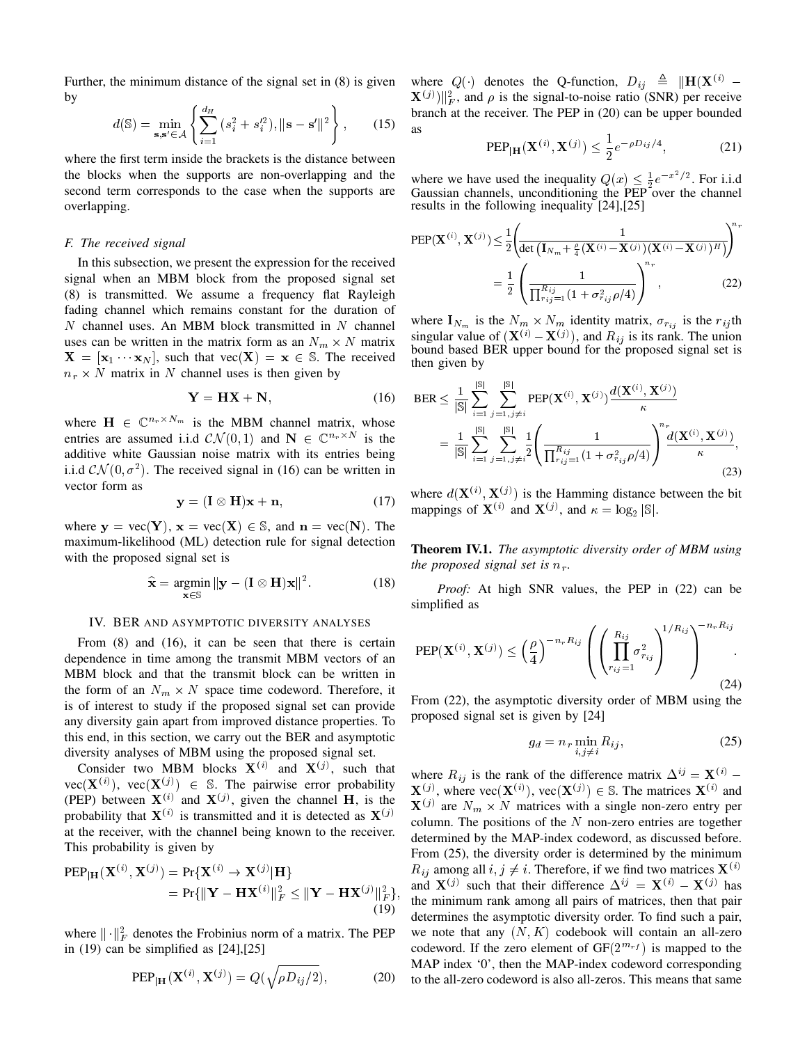Further, the minimum distance of the signal set in (8) is given by

$$
d(\mathbb{S}) = \min_{\mathbf{s}, \mathbf{s}' \in \mathcal{A}} \left\{ \sum_{i=1}^{d_H} (s_i^2 + s_i'^2), \|\mathbf{s} - \mathbf{s}'\|^2 \right\},\qquad(15)
$$

where the first term inside the brackets is the distance between the blocks when the supports are non-overlapping and the second term corresponds to the case when the supports are overlapping.

#### *F. The received signal*

In this subsection, we present the expression for the received signal when an MBM block from the proposed signal set (8) is transmitted. We assume a frequency flat Rayleigh fading channel which remains constant for the duration of  $N$  channel uses. An MBM block transmitted in  $N$  channel uses can be written in the matrix form as an  $N_m \times N$  matrix  $X = [\mathbf{x}_1 \cdots \mathbf{x}_N]$ , such that  $\text{vec}(\mathbf{X}) = \mathbf{x} \in \mathbb{S}$ . The received  $n_r \times N$  matrix in N channel uses is then given by

$$
Y = HX + N, \tag{16}
$$

where  $\mathbf{H} \in \mathbb{C}^{n_r \times N_m}$  is the MBM channel matrix, whose entries are assumed i.i.d  $CN(0, 1)$  and  $N \in \mathbb{C}^{n_r \times N}$  is the additive white Gaussian noise matrix with its entries being i.i.d  $\mathcal{CN}(0, \sigma^2)$ . The received signal in (16) can be written in vector form as

$$
y = (I \otimes H)x + n,\tag{17}
$$

where  $y = vec(Y)$ ,  $x = vec(X) \in S$ , and  $n = vec(N)$ . The maximum-likelihood (ML) detection rule for signal detection with the proposed signal set is

$$
\widehat{\mathbf{x}} = \underset{\mathbf{x} \in \mathbb{S}}{\operatorname{argmin}} \|\mathbf{y} - (\mathbf{I} \otimes \mathbf{H})\mathbf{x}\|^2. \tag{18}
$$

## IV. BER AND ASYMPTOTIC DIVERSITY ANALYSES

From (8) and (16), it can be seen that there is certain dependence in time among the transmit MBM vectors of an MBM block and that the transmit block can be written in the form of an  $N_m \times N$  space time codeword. Therefore, it is of interest to study if the proposed signal set can provide any diversity gain apart from improved distance properties. To this end, in this section, we carry out the BER and asymptotic diversity analyses of MBM using the proposed signal set.

Consider two MBM blocks  $X^{(i)}$  and  $X^{(j)}$ , such that  $vec(\mathbf{X}^{(i)})$ ,  $vec(\mathbf{X}^{(j)}) \in \mathbb{S}$ . The pairwise error probability (PEP) between  $X^{(i)}$  and  $X^{(j)}$ , given the channel H, is the probability that  $X^{(i)}$  is transmitted and it is detected as  $X^{(j)}$ at the receiver, with the channel being known to the receiver. This probability is given by

$$
PEP_{|H}(\mathbf{X}^{(i)}, \mathbf{X}^{(j)}) = Pr{\mathbf{X}^{(i)} \to \mathbf{X}^{(j)} | \mathbf{H} \}= Pr{\| \mathbf{Y} - \mathbf{H}\mathbf{X}^{(i)} \|_{F}^{2} \leq \| \mathbf{Y} - \mathbf{H}\mathbf{X}^{(j)} \|_{F}^{2}},
$$
(19)

where  $\|\cdot\|_F^2$  denotes the Frobinius norm of a matrix. The PEP in  $(19)$  can be simplified as  $[24]$ ,  $[25]$ 

$$
PEP_{\mid \mathbf{H}}(\mathbf{X}^{(i)}, \mathbf{X}^{(j)}) = Q(\sqrt{\rho D_{ij}/2}), \tag{20}
$$

where  $Q(\cdot)$  denotes the Q-function,  $D_{ij} \triangleq ||\mathbf{H}(\mathbf{X}^{(i)}) \mathbf{X}^{(j)}$  || $_k^2$ , and  $\rho$  is the signal-to-noise ratio (SNR) per receive branch at the receiver. The PEP in (20) can be upper bounded as

PEP<sub>|H</sub>(
$$
\mathbf{X}^{(i)}, \mathbf{X}^{(j)}
$$
)  $\leq \frac{1}{2} e^{-\rho D_{ij}/4}$ , (21)

where we have used the inequality  $Q(x) \leq \frac{1}{2}e^{-x^2/2}$ . For i.i.d Gaussian channels, unconditioning the PEP over the channel results in the following inequality [24],[25]

PEP(
$$
\mathbf{X}^{(i)}
$$
,  $\mathbf{X}^{(j)}$ )  $\leq \frac{1}{2} \left( \frac{1}{\det (\mathbf{I}_{N_m} + \frac{\rho}{4} (\mathbf{X}^{(i)} - \mathbf{X}^{(j)}) (\mathbf{X}^{(i)} - \mathbf{X}^{(j)})^H)} \right)^{n_r}$   

$$
= \frac{1}{2} \left( \frac{1}{\prod_{r_{ij}=1}^{R_{ij}} (1 + \sigma_{r_{ij}}^2 \rho/4)} \right)^{n_r},
$$
(22)

where  $I_{N_m}$  is the  $N_m \times N_m$  identity matrix,  $\sigma_{r_{ij}}$  is the  $r_{ij}$ th singular value of  $(\mathbf{X}^{(i)} - \mathbf{X}^{(j)})$ , and  $R_{ij}$  is its rank. The union bound based BER upper bound for the proposed signal set is then given by

$$
BER \leq \frac{1}{|S|} \sum_{i=1}^{|S|} \sum_{j=1, j \neq i}^{|S|} PEP(\mathbf{X}^{(i)}, \mathbf{X}^{(j)}) \frac{d(\mathbf{X}^{(i)}, \mathbf{X}^{(j)})}{\kappa}
$$
  
= 
$$
\frac{1}{|S|} \sum_{i=1}^{|S|} \sum_{j=1, j \neq i}^{|S|} \frac{1}{2} \left( \frac{1}{\prod_{r_{ij}=1}^{R_{ij}} (1 + \sigma_{r_{ij}}^2 \rho/4)} \right)^n \frac{d(\mathbf{X}^{(i)}, \mathbf{X}^{(j)})}{\kappa},
$$
(23)

where  $d(\mathbf{X}^{(i)}, \mathbf{X}^{(j)})$  is the Hamming distance between the bit mappings of  $\mathbf{X}^{(i)}$  and  $\mathbf{X}^{(j)}$ , and  $\kappa = \log_2 |\mathbb{S}|$ .

Theorem IV.1. *The asymptotic diversity order of MBM using the proposed signal set is*  $n_r$ *.* 

*Proof:* At high SNR values, the PEP in (22) can be simplified as

$$
\text{PEP}(\mathbf{X}^{(i)}, \mathbf{X}^{(j)}) \le \left(\frac{\rho}{4}\right)^{-n_r R_{ij}} \left( \left(\prod_{r_{ij}=1}^{R_{ij}} \sigma_{r_{ij}}^2\right)^{1/R_{ij}} \right)^{-n_r R_{ij}}.
$$
\n(24)

From (22), the asymptotic diversity order of MBM using the proposed signal set is given by [24]

$$
g_d = n_r \min_{i,j \neq i} R_{ij}, \qquad (25)
$$

where  $R_{ij}$  is the rank of the difference matrix  $\Delta^{ij} = \mathbf{X}^{(i)}$  –  $X^{(j)}$ , where vec $(X^{(i)})$ , vec $(X^{(j)}) \in \mathbb{S}$ . The matrices  $X^{(i)}$  and  $\mathbf{X}^{(j)}$  are  $N_m \times N$  matrices with a single non-zero entry per column. The positions of the  $N$  non-zero entries are together determined by the MAP-index codeword, as discussed before. From (25), the diversity order is determined by the minimum  $R_{ij}$  among all  $i, j \neq i$ . Therefore, if we find two matrices  $\mathbf{X}^{(i)}$ and  $X^{(j)}$  such that their difference  $\Delta^{ij} = X^{(i)} - X^{(j)}$  has the minimum rank among all pairs of matrices, then that pair determines the asymptotic diversity order. To find such a pair, we note that any  $(N, K)$  codebook will contain an all-zero codeword. If the zero element of  $GF(2^{m_{rf}})$  is mapped to the MAP index '0', then the MAP-index codeword corresponding to the all-zero codeword is also all-zeros. This means that same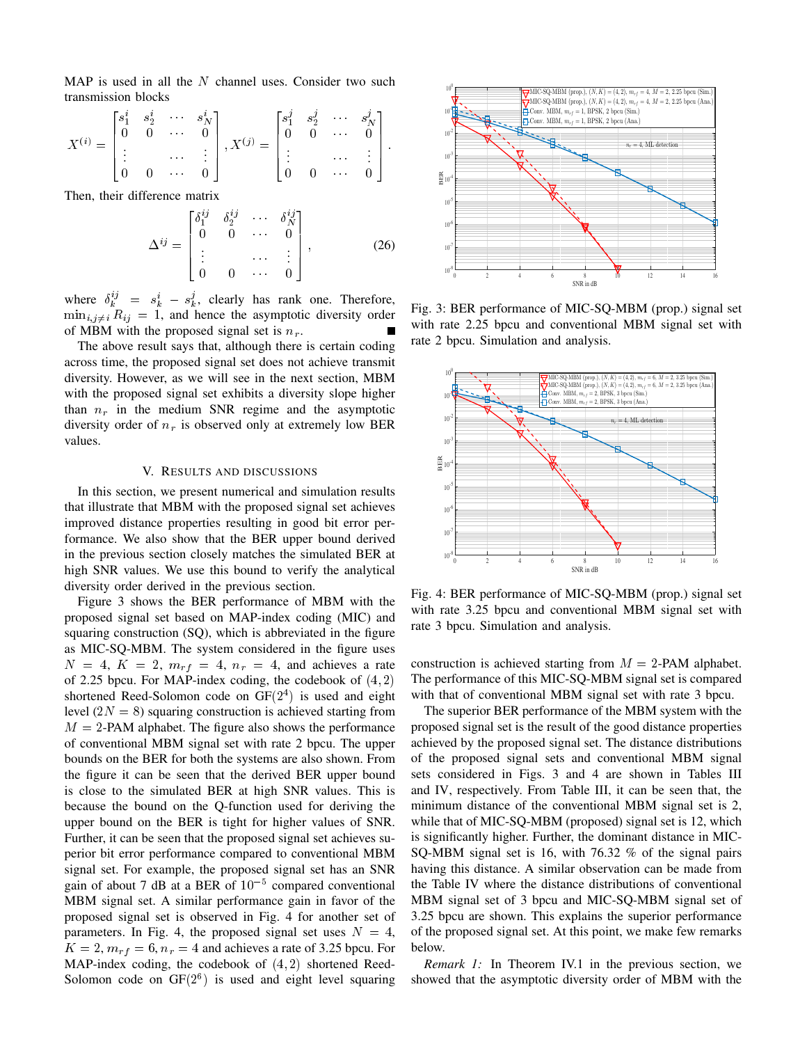MAP is used in all the  $N$  channel uses. Consider two such transmission blocks

$$
X^{(i)} = \begin{bmatrix} s_1^i & s_2^i & \cdots & s_N^i \\ 0 & 0 & \cdots & 0 \\ \vdots & & & \vdots \\ 0 & 0 & \cdots & 0 \end{bmatrix}, X^{(j)} = \begin{bmatrix} s_1^j & s_2^j & \cdots & s_N^j \\ 0 & 0 & \cdots & 0 \\ \vdots & & & \vdots \\ 0 & 0 & \cdots & 0 \end{bmatrix}.
$$

Then, their difference matrix

$$
\Delta^{ij} = \begin{bmatrix} \delta_1^{ij} & \delta_2^{ij} & \cdots & \delta_N^{ij} \\ 0 & 0 & \cdots & 0 \\ \vdots & & & \vdots \\ 0 & 0 & \cdots & 0 \end{bmatrix}, \qquad (26)
$$

where  $\delta_k^{ij} = s_k^i - s_k^j$ , clearly has rank one. Therefore,  $\min_{i,j\neq i} R_{ij} = 1$ , and hence the asymptotic diversity order of MBM with the proposed signal set is  $n_r$ .

The above result says that, although there is certain coding across time, the proposed signal set does not achieve transmit diversity. However, as we will see in the next section, MBM with the proposed signal set exhibits a diversity slope higher than  $n_r$  in the medium SNR regime and the asymptotic diversity order of  $n_r$  is observed only at extremely low BER values.

## V. RESULTS AND DISCUSSIONS

In this section, we present numerical and simulation results that illustrate that MBM with the proposed signal set achieves improved distance properties resulting in good bit error performance. We also show that the BER upper bound derived in the previous section closely matches the simulated BER at high SNR values. We use this bound to verify the analytical diversity order derived in the previous section.

Figure 3 shows the BER performance of MBM with the proposed signal set based on MAP-index coding (MIC) and squaring construction (SQ), which is abbreviated in the figure as MIC-SQ-MBM. The system considered in the figure uses  $N = 4$ ,  $K = 2$ ,  $m_{rf} = 4$ ,  $n_r = 4$ , and achieves a rate of 2.25 bpcu. For MAP-index coding, the codebook of  $(4, 2)$ shortened Reed-Solomon code on  $GF(2<sup>4</sup>)$  is used and eight level  $(2N = 8)$  squaring construction is achieved starting from  $M = 2$ -PAM alphabet. The figure also shows the performance of conventional MBM signal set with rate 2 bpcu. The upper bounds on the BER for both the systems are also shown. From the figure it can be seen that the derived BER upper bound is close to the simulated BER at high SNR values. This is because the bound on the Q-function used for deriving the upper bound on the BER is tight for higher values of SNR. Further, it can be seen that the proposed signal set achieves superior bit error performance compared to conventional MBM signal set. For example, the proposed signal set has an SNR gain of about 7 dB at a BER of  $10^{-5}$  compared conventional MBM signal set. A similar performance gain in favor of the proposed signal set is observed in Fig. 4 for another set of parameters. In Fig. 4, the proposed signal set uses  $N = 4$ ,  $K = 2$ ,  $m_{rf} = 6$ ,  $n_r = 4$  and achieves a rate of 3.25 bpcu. For MAP-index coding, the codebook of  $(4, 2)$  shortened Reed-Solomon code on  $GF(2^6)$  is used and eight level squaring



Fig. 3: BER performance of MIC-SQ-MBM (prop.) signal set with rate 2.25 bpcu and conventional MBM signal set with rate 2 bpcu. Simulation and analysis.



Fig. 4: BER performance of MIC-SQ-MBM (prop.) signal set with rate 3.25 bpcu and conventional MBM signal set with rate 3 bpcu. Simulation and analysis.

construction is achieved starting from  $M = 2$ -PAM alphabet. The performance of this MIC-SQ-MBM signal set is compared with that of conventional MBM signal set with rate 3 bpcu.

) or  $\cdot$  is used by the restricted three is used and simulation and the mass of MIC-SQ-MBM (prop) signal set with the and the symptometric distinct in the angle of MIC-SQ-MBM (prop) signal set is used and the simulation The superior BER performance of the MBM system with the proposed signal set is the result of the good distance properties achieved by the proposed signal set. The distance distributions of the proposed signal sets and conventional MBM signal sets considered in Figs. 3 and 4 are shown in Tables III and IV, respectively. From Table III, it can be seen that, the minimum distance of the conventional MBM signal set is 2, while that of MIC-SQ-MBM (proposed) signal set is 12, which is significantly higher. Further, the dominant distance in MIC-SQ-MBM signal set is 16, with 76.32 % of the signal pairs having this distance. A similar observation can be made from the Table IV where the distance distributions of conventional MBM signal set of 3 bpcu and MIC-SQ-MBM signal set of 3.25 bpcu are shown. This explains the superior performance of the proposed signal set. At this point, we make few remarks below.

*Remark 1:* In Theorem IV.1 in the previous section, we showed that the asymptotic diversity order of MBM with the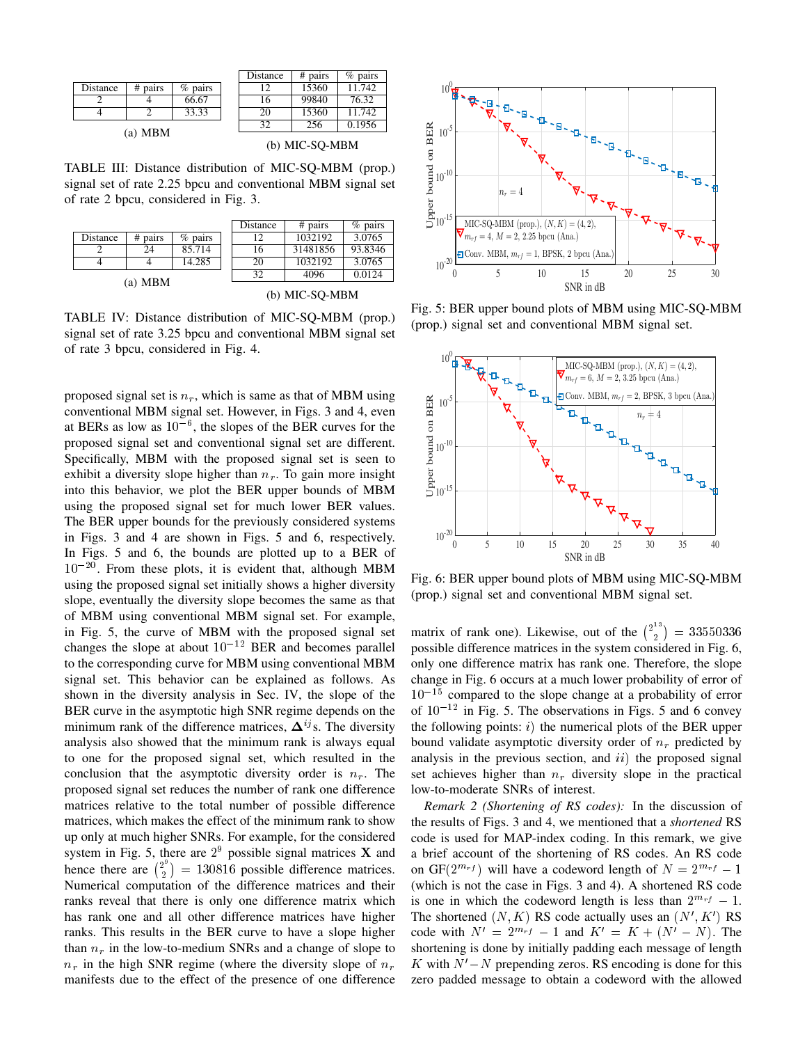|           |         |           |  | Distance | # pairs | $%$ pairs |
|-----------|---------|-----------|--|----------|---------|-----------|
| Distance  | # pairs | $%$ pairs |  |          | 15360   | 11.742    |
|           |         | 66.67     |  | 16       | 99840   | 76.32     |
|           |         | 33.33     |  | 20       | 15360   | 11.742    |
|           |         |           |  | 32       | 256     | 0.1956    |
| (a) $MBM$ |         |           |  |          |         |           |

| (b) MIC-SQ-MBM |  |
|----------------|--|
|                |  |

TABLE III: Distance distribution of MIC-SQ-MBM (prop.) signal set of rate 2.25 bpcu and conventional MBM signal set of rate 2 bpcu, considered in Fig. 3.

|           |         |           |                | Distance | $# \text{ pairs}$ | $%$ pairs |
|-----------|---------|-----------|----------------|----------|-------------------|-----------|
| Distance  | # pairs | $%$ pairs |                | 12       | 1032192           | 3.0765    |
|           | 24      | 85.714    |                | 16       | 31481856          | 93.8346   |
|           |         | 14.285    |                | 20       | 1032192           | 3.0765    |
| (a) $MBM$ |         |           | 32             | 4096     | 0.0124            |           |
|           |         |           | (b) MIC-SO-MBM |          |                   |           |

TABLE IV: Distance distribution of MIC-SQ-MBM (prop.) signal set of rate 3.25 bpcu and conventional MBM signal set of rate 3 bpcu, considered in Fig. 4.

proposed signal set is  $n_r$ , which is same as that of MBM using conventional MBM signal set. However, in Figs. 3 and 4, even at BERs as low as  $10^{-6}$ , the slopes of the BER curves for the proposed signal set and conventional signal set are different. Specifically, MBM with the proposed signal set is seen to exhibit a diversity slope higher than  $n_r$ . To gain more insight into this behavior, we plot the BER upper bounds of MBM using the proposed signal set for much lower BER values. The BER upper bounds for the previously considered systems in Figs. 3 and 4 are shown in Figs. 5 and 6, respectively. In Figs. 5 and 6, the bounds are plotted up to a BER of  $10^{-20}$ . From these plots, it is evident that, although MBM using the proposed signal set initially shows a higher diversity slope, eventually the diversity slope becomes the same as that of MBM using conventional MBM signal set. For example, in Fig. 5, the curve of MBM with the proposed signal set changes the slope at about  $10^{-12}$  BER and becomes parallel to the corresponding curve for MBM using conventional MBM signal set. This behavior can be explained as follows. As shown in the diversity analysis in Sec. IV, the slope of the BER curve in the asymptotic high SNR regime depends on the minimum rank of the difference matrices,  $\Delta^{ij}$ s. The diversity analysis also showed that the minimum rank is always equal to one for the proposed signal set, which resulted in the conclusion that the asymptotic diversity order is  $n_r$ . The proposed signal set reduces the number of rank one difference matrices relative to the total number of possible difference matrices, which makes the effect of the minimum rank to show up only at much higher SNRs. For example, for the considered system in Fig. 5, there are  $2^9$  possible signal matrices **X** and hence there are  $\binom{2^9}{3}$  $\binom{2^2}{2}$  = 130816 possible difference matrices. Numerical computation of the difference matrices and their ranks reveal that there is only one difference matrix which has rank one and all other difference matrices have higher ranks. This results in the BER curve to have a slope higher than  $n_r$  in the low-to-medium SNRs and a change of slope to  $n_r$  in the high SNR regime (where the diversity slope of  $n_r$ manifests due to the effect of the presence of one difference



Fig. 5: BER upper bound plots of MBM using MIC-SQ-MBM (prop.) signal set and conventional MBM signal set.



Fig. 6: BER upper bound plots of MBM using MIC-SQ-MBM (prop.) signal set and conventional MBM signal set.

matrix of rank one). Likewise, out of the  $\binom{2^{13}}{2}$  $\binom{12}{2} = 33550336$ possible difference matrices in the system considered in Fig. 6, only one difference matrix has rank one. Therefore, the slope change in Fig. 6 occurs at a much lower probability of error of  $10^{-15}$  compared to the slope change at a probability of error of  $10^{-12}$  in Fig. 5. The observations in Figs. 5 and 6 convey the following points:  $i)$  the numerical plots of the BER upper bound validate asymptotic diversity order of  $n_r$  predicted by analysis in the previous section, and  $ii)$  the proposed signal set achieves higher than  $n_r$  diversity slope in the practical low-to-moderate SNRs of interest.

*Remark 2 (Shortening of RS codes):* In the discussion of the results of Figs. 3 and 4, we mentioned that a *shortened* RS code is used for MAP-index coding. In this remark, we give a brief account of the shortening of RS codes. An RS code on GF( $2^{m_{rf}}$ ) will have a codeword length of  $N = 2^{m_{rf}} - 1$ (which is not the case in Figs. 3 and 4). A shortened RS code is one in which the codeword length is less than  $2^{m_{rf}} - 1$ . The shortened  $(N, K)$  RS code actually uses an  $(N', K')$  RS code with  $N' = 2^{m_{rf}} - 1$  and  $K' = K + (N' - N)$ . The shortening is done by initially padding each message of length K with  $N'-N$  prepending zeros. RS encoding is done for this zero padded message to obtain a codeword with the allowed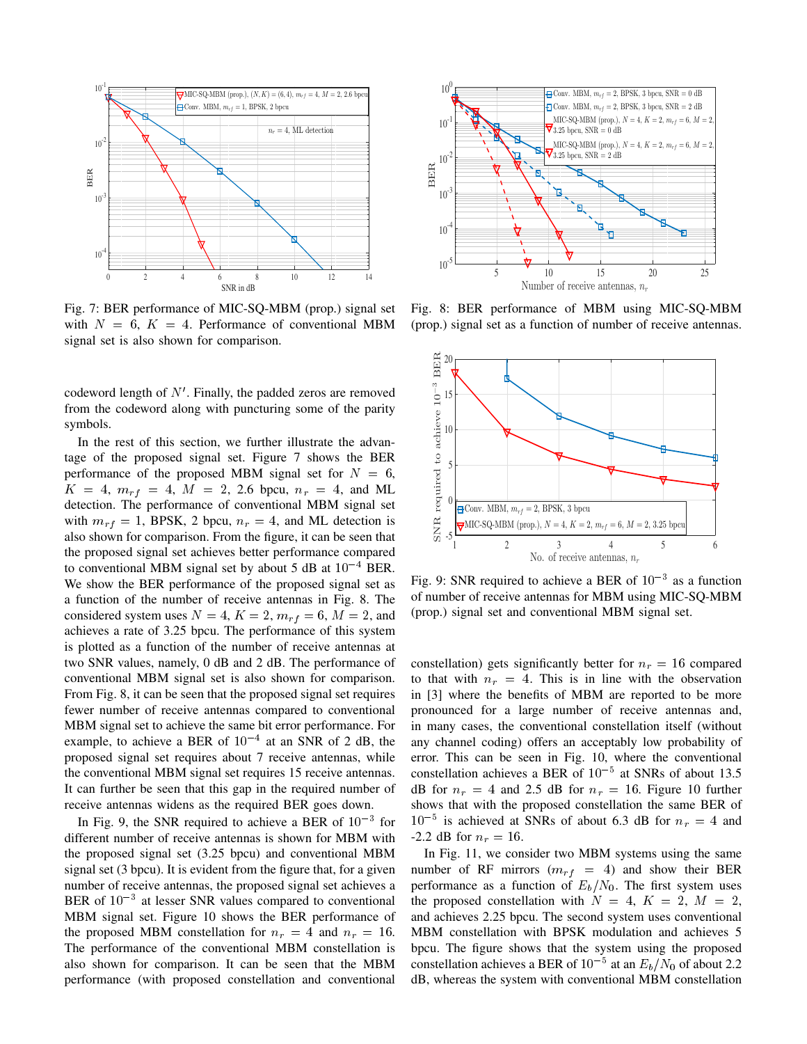

Fig. 7: BER performance of MIC-SQ-MBM (prop.) signal set with  $N = 6$ ,  $K = 4$ . Performance of conventional MBM signal set is also shown for comparison.

codeword length of  $N'$ . Finally, the padded zeros are removed from the codeword along with puncturing some of the parity symbols.

In the rest of this section, we further illustrate the advantage of the proposed signal set. Figure 7 shows the BER performance of the proposed MBM signal set for  $N = 6$ ,  $K = 4$ ,  $m_{rf} = 4$ ,  $M = 2$ , 2.6 bpcu,  $n_r = 4$ , and ML detection. The performance of conventional MBM signal set with  $m_{rf} = 1$ , BPSK, 2 bpcu,  $n_r = 4$ , and ML detection is also shown for comparison. From the figure, it can be seen that the proposed signal set achieves better performance compared to conventional MBM signal set by about 5 dB at  $10^{-4}$  BER. We show the BER performance of the proposed signal set as a function of the number of receive antennas in Fig. 8. The considered system uses  $N = 4$ ,  $K = 2$ ,  $m_{rf} = 6$ ,  $M = 2$ , and achieves a rate of 3.25 bpcu. The performance of this system is plotted as a function of the number of receive antennas at two SNR values, namely, 0 dB and 2 dB. The performance of conventional MBM signal set is also shown for comparison. From Fig. 8, it can be seen that the proposed signal set requires fewer number of receive antennas compared to conventional MBM signal set to achieve the same bit error performance. For example, to achieve a BER of  $10^{-4}$  at an SNR of 2 dB, the proposed signal set requires about 7 receive antennas, while the conventional MBM signal set requires 15 receive antennas. It can further be seen that this gap in the required number of receive antennas widens as the required BER goes down.

In Fig. 9, the SNR required to achieve a BER of  $10^{-3}$  for different number of receive antennas is shown for MBM with the proposed signal set (3.25 bpcu) and conventional MBM signal set (3 bpcu). It is evident from the figure that, for a given number of receive antennas, the proposed signal set achieves a BER of  $10^{-3}$  at lesser SNR values compared to conventional MBM signal set. Figure 10 shows the BER performance of the proposed MBM constellation for  $n_r = 4$  and  $n_r = 16$ . The performance of the conventional MBM constellation is also shown for comparison. It can be seen that the MBM performance (with proposed constellation and conventional



Fig. 8: BER performance of MBM using MIC-SQ-MBM (prop.) signal set as a function of number of receive antennas.



Fig. 9: SNR required to achieve a BER of  $10^{-3}$  as a function of number of receive antennas for MBM using MIC-SQ-MBM (prop.) signal set and conventional MBM signal set.

constellation) gets significantly better for  $n_r = 16$  compared to that with  $n_r = 4$ . This is in line with the observation in [3] where the benefits of MBM are reported to be more pronounced for a large number of receive antennas and, in many cases, the conventional constellation itself (without any channel coding) offers an acceptably low probability of error. This can be seen in Fig. 10, where the conventional constellation achieves a BER of  $10^{-5}$  at SNRs of about 13.5 dB for  $n_r = 4$  and 2.5 dB for  $n_r = 16$ . Figure 10 further shows that with the proposed constellation the same BER of  $10^{-5}$  is achieved at SNRs of about 6.3 dB for  $n_r = 4$  and -2.2 dB for  $n_r = 16$ .

In Fig. 11, we consider two MBM systems using the same number of RF mirrors ( $m_{rf}$  = 4) and show their BER performance as a function of  $E_b/N_0$ . The first system uses the proposed constellation with  $N = 4$ ,  $K = 2$ ,  $M = 2$ , and achieves 2.25 bpcu. The second system uses conventional MBM constellation with BPSK modulation and achieves 5 bpcu. The figure shows that the system using the proposed constellation achieves a BER of  $10^{-5}$  at an  $E_b/N_0$  of about 2.2 dB, whereas the system with conventional MBM constellation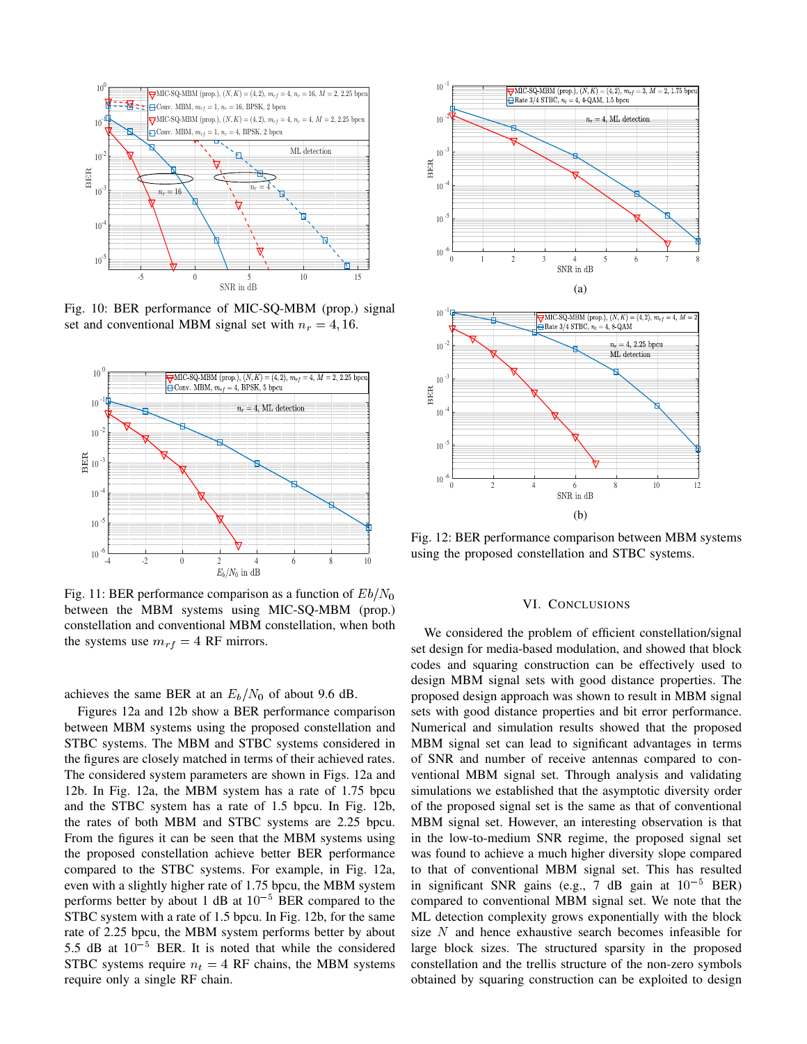

Fig. 10: BER performance of MIC-SQ-MBM (prop.) signal set and conventional MBM signal set with  $n_r = 4$ , 16.



Fig. 11: BER performance comparison as a function of  $Eb/N_0$ between the MBM systems using MIC-SQ-MBM (prop.) constellation and conventional MBM constellation, when both the systems use  $m_{rf} = 4$  RF mirrors.

achieves the same BER at an  $E_b/N_0$  of about 9.6 dB.

Figures 12a and 12b show a BER performance comparison between MBM systems using the proposed constellation and STBC systems. The MBM and STBC systems considered in the figures are closely matched in terms of their achieved rates. The considered system parameters are shown in Figs. 12a and 12b. In Fig. 12a, the MBM system has a rate of 1.75 bpcu and the STBC system has a rate of 1.5 bpcu. In Fig. 12b, the rates of both MBM and STBC systems are 2.25 bpcu. From the figures it can be seen that the MBM systems using the proposed constellation achieve better BER performance compared to the STBC systems. For example, in Fig. 12a, even with a slightly higher rate of 1.75 bpcu, the MBM system performs better by about 1 dB at  $10^{-5}$  BER compared to the STBC system with a rate of 1.5 bpcu. In Fig. 12b, for the same rate of 2.25 bpcu, the MBM system performs better by about 5.5 dB at  $10^{-5}$  BER. It is noted that while the considered STBC systems require  $n_t = 4$  RF chains, the MBM systems



Fig. 12: BER performance comparison between MBM systems using the proposed constellation and STBC systems.

#### VI. CONCLUSIONS

Fig. 13. BER performance of MIC space and the single MIC space is a single performance of MIC space and the single RF chain. The space of MIC space and the space of MIC space and the space of MIC space and the space of MI We considered the problem of efficient constellation/signal set design for media-based modulation, and showed that block codes and squaring construction can be effectively used to design MBM signal sets with good distance properties. The proposed design approach was shown to result in MBM signal sets with good distance properties and bit error performance. Numerical and simulation results showed that the proposed MBM signal set can lead to significant advantages in terms of SNR and number of receive antennas compared to conventional MBM signal set. Through analysis and validating simulations we established that the asymptotic diversity order of the proposed signal set is the same as that of conventional MBM signal set. However, an interesting observation is that in the low-to-medium SNR regime, the proposed signal set was found to achieve a much higher diversity slope compared to that of conventional MBM signal set. This has resulted in significant SNR gains (e.g., 7 dB gain at  $10^{-5}$  BER) compared to conventional MBM signal set. We note that the ML detection complexity grows exponentially with the block size N and hence exhaustive search becomes infeasible for large block sizes. The structured sparsity in the proposed constellation and the trellis structure of the non-zero symbols obtained by squaring construction can be exploited to design